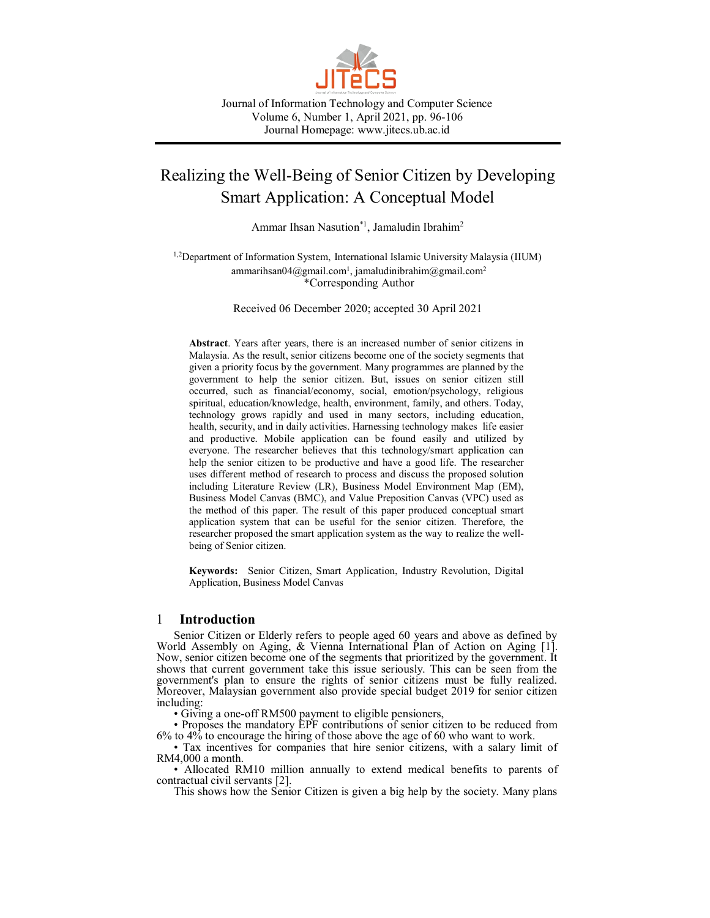

Journal of Information Technology and Computer Science Volume 6, Number 1, April 2021, pp. 96-106 Journal Homepage: www.jitecs.ub.ac.id

# Realizing the Well-Being of Senior Citizen by Developing Smart Application: A Conceptual Model

Ammar Ihsan Nasution\*<sup>1</sup>, Jamaludin Ibrahim<sup>2</sup>

<sup>1,2</sup>Department of Information System, International Islamic University Malaysia (IIUM) [ammarihsan04@gmail.com](mailto:ammarihsan04@gmail.com)<sup>1</sup>[, jamaludinibrahim@gmail.com](mailto:jamaludinibrahim@gmail.com2)<sup>2</sup> \*Corresponding Author

Received 06 December 2020; accepted 30 April 2021

**Abstract**. Years after years, there is an increased number of senior citizens in Malaysia. As the result, senior citizens become one of the society segments that given a priority focus by the government. Many programmes are planned by the government to help the senior citizen. But, issues on senior citizen still occurred, such as financial/economy, social, emotion/psychology, religious spiritual, education/knowledge, health, environment, family, and others. Today, technology grows rapidly and used in many sectors, including education, health, security, and in daily activities. Harnessing technology makes life easier and productive. Mobile application can be found easily and utilized by everyone. The researcher believes that this technology/smart application can help the senior citizen to be productive and have a good life. The researcher uses different method of research to process and discuss the proposed solution including Literature Review (LR), Business Model Environment Map (EM), Business Model Canvas (BMC), and Value Preposition Canvas (VPC) used as the method of this paper. The result of this paper produced conceptual smart application system that can be useful for the senior citizen. Therefore, the researcher proposed the smart application system as the way to realize the wellbeing of Senior citizen.

**Keywords:** Senior Citizen, Smart Application, Industry Revolution, Digital Application, Business Model Canvas

## 1 **Introduction**

Senior Citizen or Elderly refers to people aged 60 years and above as defined by World Assembly on Aging, & Vienna International Plan of Action on Aging [1]. Now, senior citizen become one of the segments that prioritized by the government. It shows that current government take this issue seriously. This can be seen from the government's plan to ensure the rights of senior citizens must be fully realized. Moreover, Malaysian government also provide special budget 2019 for senior citizen including:

• Giving a one-off RM500 payment to eligible pensioners,

• Proposes the mandatory EPF contributions of senior citizen to be reduced from 6% to 4% to encourage the hiring of those above the age of 60 who want to work.

• Tax incentives for companies that hire senior citizens, with a salary limit of RM4,000 a month.

• Allocated RM10 million annually to extend medical benefits to parents of contractual civil servants [2].

This shows how the Senior Citizen is given a big help by the society. Many plans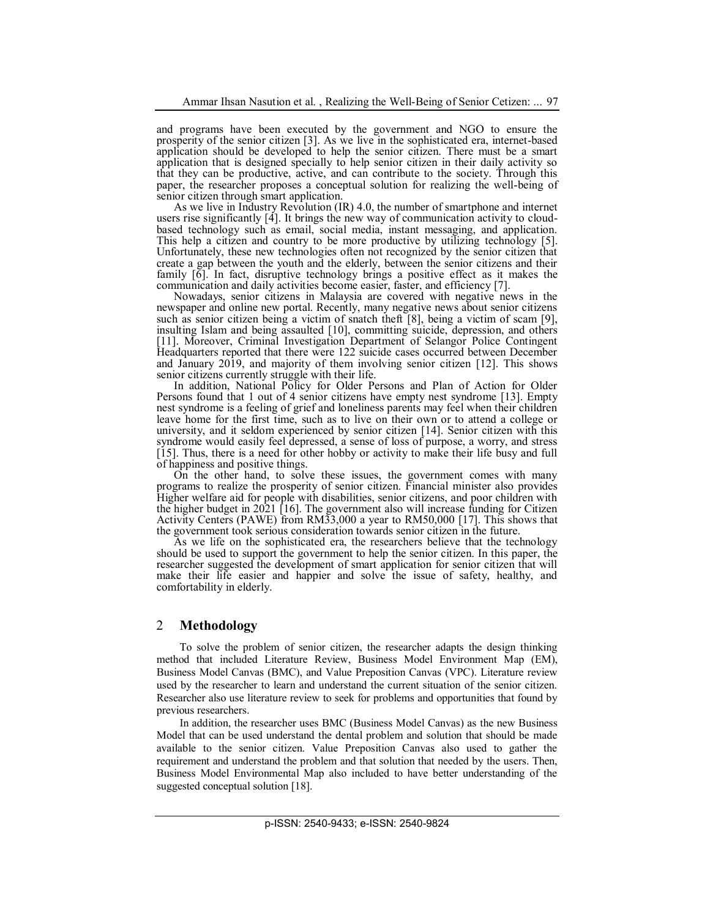and programs have been executed by the government and NGO to ensure the prosperity of the senior citizen [3]. As we live in the sophisticated era, internet-based application should be developed to help the senior citizen. There must be a smart application that is designed specially to help senior citizen in their daily activity so that they can be productive, active, and can contribute to the society. Through this paper, the researcher proposes a conceptual solution for realizing the well-being of senior citizen through smart application.

As we live in Industry Revolution (IR) 4.0, the number of smartphone and internet users rise significantly [4]. It brings the new way of communication activity to cloudbased technology such as email, social media, instant messaging, and application. This help a citizen and country to be more productive by utilizing technology [5]. Unfortunately, these new technologies often not recognized by the senior citizen that create a gap between the youth and the elderly, between the senior citizens and their family [6]. In fact, disruptive technology brings a positive effect as it makes the communication and daily activities become easier, faster, and efficiency [7].

Nowadays, senior citizens in Malaysia are covered with negative news in the newspaper and online new portal. Recently, many negative news about senior citizens such as senior citizen being a victim of snatch theft [8], being a victim of scam [9], insulting Islam and being assaulted [10], committing suicide, depression, and others [11]. Moreover, Criminal Investigation Department of Selangor Police Contingent Headquarters reported that there were 122 suicide cases occurred between December and January 2019, and majority of them involving senior citizen [12]. This shows senior citizens currently struggle with their life.

In addition, National Policy for Older Persons and Plan of Action for Older Persons found that 1 out of 4 senior citizens have empty nest syndrome [13]. Empty nest syndrome is a feeling of grief and loneliness parents may feel when their children leave home for the first time, such as to live on their own or to attend a college or university, and it seldom experienced by senior citizen [14]. Senior citizen with this syndrome would easily feel depressed, a sense of loss of purpose, a worry, and stress [15]. Thus, there is a need for other hobby or activity to make their life busy and full of happiness and positive things.

On the other hand, to solve these issues, the government comes with many programs to realize the prosperity of senior citizen. Financial minister also provides Higher welfare aid for people with disabilities, senior citizens, and poor children with the higher budget in 2021 [16]. The government also will increase funding for Citizen Activity Centers (PAWE) from RM33,000 a year to RM50,000 [17]. This shows that the government took serious consideration towards senior citizen in the future.

As we life on the sophisticated era, the researchers believe that the technology should be used to support the government to help the senior citizen. In this paper, the researcher suggested the development of smart application for senior citizen that will make their life easier and happier and solve the issue of safety, healthy, and comfortability in elderly.

## 2 **Methodology**

To solve the problem of senior citizen, the researcher adapts the design thinking method that included Literature Review, Business Model Environment Map (EM), Business Model Canvas (BMC), and Value Preposition Canvas (VPC). Literature review used by the researcher to learn and understand the current situation of the senior citizen. Researcher also use literature review to seek for problems and opportunities that found by previous researchers.

In addition, the researcher uses BMC (Business Model Canvas) as the new Business Model that can be used understand the dental problem and solution that should be made available to the senior citizen. Value Preposition Canvas also used to gather the requirement and understand the problem and that solution that needed by the users. Then, Business Model Environmental Map also included to have better understanding of the suggested conceptual solution [18].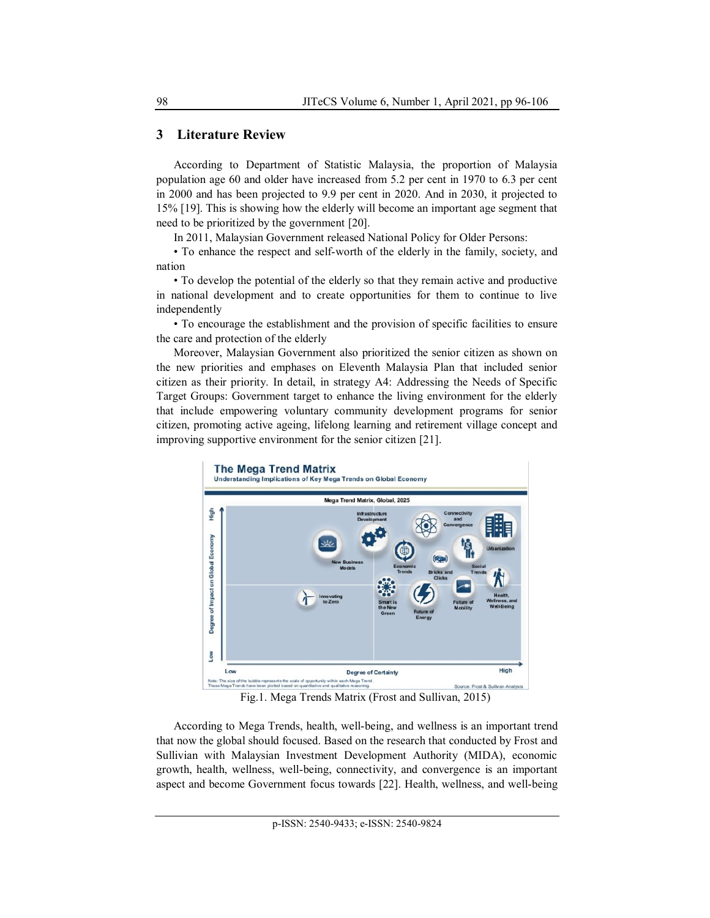## **3 Literature Review**

According to Department of Statistic Malaysia, the proportion of Malaysia population age 60 and older have increased from 5.2 per cent in 1970 to 6.3 per cent in 2000 and has been projected to 9.9 per cent in 2020. And in 2030, it projected to 15% [19]. This is showing how the elderly will become an important age segment that need to be prioritized by the government [20].

In 2011, Malaysian Government released National Policy for Older Persons:

• To enhance the respect and self-worth of the elderly in the family, society, and nation

• To develop the potential of the elderly so that they remain active and productive in national development and to create opportunities for them to continue to live independently

• To encourage the establishment and the provision of specific facilities to ensure the care and protection of the elderly

Moreover, Malaysian Government also prioritized the senior citizen as shown on the new priorities and emphases on Eleventh Malaysia Plan that included senior citizen as their priority. In detail, in strategy A4: Addressing the Needs of Specific Target Groups: Government target to enhance the living environment for the elderly that include empowering voluntary community development programs for senior citizen, promoting active ageing, lifelong learning and retirement village concept and improving supportive environment for the senior citizen [21].



Fig.1. Mega Trends Matrix (Frost and Sullivan, 2015)

According to Mega Trends, health, well-being, and wellness is an important trend that now the global should focused. Based on the research that conducted by Frost and Sullivian with Malaysian Investment Development Authority (MIDA), economic growth, health, wellness, well-being, connectivity, and convergence is an important aspect and become Government focus towards [22]. Health, wellness, and well-being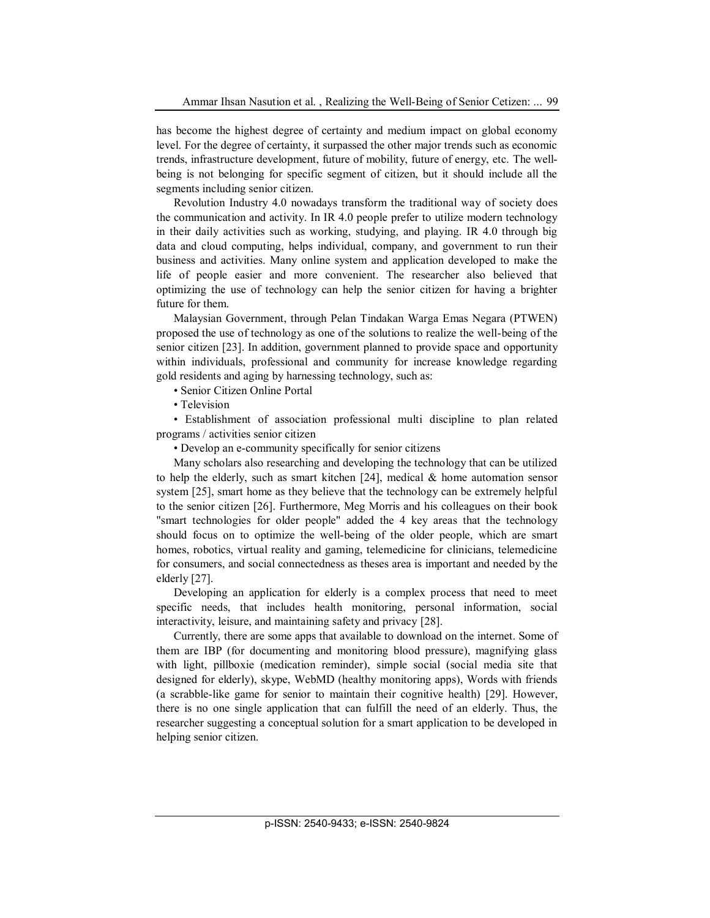has become the highest degree of certainty and medium impact on global economy level. For the degree of certainty, it surpassed the other major trends such as economic trends, infrastructure development, future of mobility, future of energy, etc. The wellbeing is not belonging for specific segment of citizen, but it should include all the segments including senior citizen.

Revolution Industry 4.0 nowadays transform the traditional way of society does the communication and activity. In IR 4.0 people prefer to utilize modern technology in their daily activities such as working, studying, and playing. IR 4.0 through big data and cloud computing, helps individual, company, and government to run their business and activities. Many online system and application developed to make the life of people easier and more convenient. The researcher also believed that optimizing the use of technology can help the senior citizen for having a brighter future for them.

Malaysian Government, through Pelan Tindakan Warga Emas Negara (PTWEN) proposed the use of technology as one of the solutions to realize the well-being of the senior citizen [23]. In addition, government planned to provide space and opportunity within individuals, professional and community for increase knowledge regarding gold residents and aging by harnessing technology, such as:

• Senior Citizen Online Portal

• Television

• Establishment of association professional multi discipline to plan related programs / activities senior citizen

• Develop an e-community specifically for senior citizens

Many scholars also researching and developing the technology that can be utilized to help the elderly, such as smart kitchen [24], medical & home automation sensor system [25], smart home as they believe that the technology can be extremely helpful to the senior citizen [26]. Furthermore, Meg Morris and his colleagues on their book "smart technologies for older people" added the 4 key areas that the technology should focus on to optimize the well-being of the older people, which are smart homes, robotics, virtual reality and gaming, telemedicine for clinicians, telemedicine for consumers, and social connectedness as theses area is important and needed by the elderly [27].

Developing an application for elderly is a complex process that need to meet specific needs, that includes health monitoring, personal information, social interactivity, leisure, and maintaining safety and privacy [28].

Currently, there are some apps that available to download on the internet. Some of them are IBP (for documenting and monitoring blood pressure), magnifying glass with light, pillboxie (medication reminder), simple social (social media site that designed for elderly), skype, WebMD (healthy monitoring apps), Words with friends (a scrabble-like game for senior to maintain their cognitive health) [29]. However, there is no one single application that can fulfill the need of an elderly. Thus, the researcher suggesting a conceptual solution for a smart application to be developed in helping senior citizen.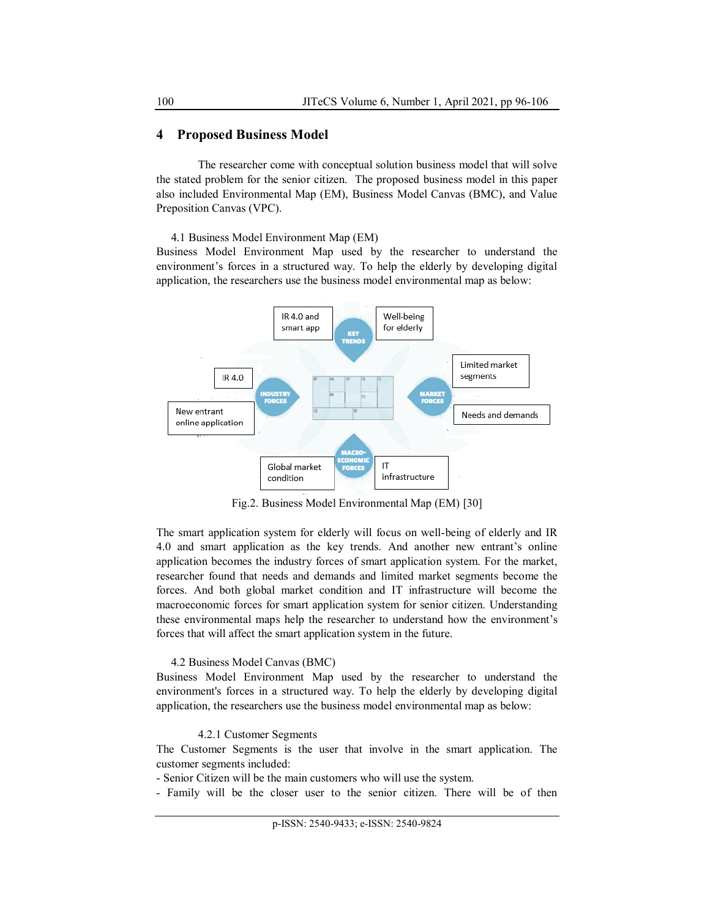# **4 Proposed Business Model**

The researcher come with conceptual solution business model that will solve the stated problem for the senior citizen. The proposed business model in this paper also included Environmental Map (EM), Business Model Canvas (BMC), and Value Preposition Canvas (VPC).

4.1 Business Model Environment Map (EM)

Business Model Environment Map used by the researcher to understand the environment's forces in a structured way. To help the elderly by developing digital application, the researchers use the business model environmental map as below:



Fig.2. Business Model Environmental Map (EM) [30]

The smart application system for elderly will focus on well-being of elderly and IR 4.0 and smart application as the key trends. And another new entrant's online application becomes the industry forces of smart application system. For the market, researcher found that needs and demands and limited market segments become the forces. And both global market condition and IT infrastructure will become the macroeconomic forces for smart application system for senior citizen. Understanding these environmental maps help the researcher to understand how the environment's forces that will affect the smart application system in the future.

## 4.2 Business Model Canvas (BMC)

Business Model Environment Map used by the researcher to understand the environment's forces in a structured way. To help the elderly by developing digital application, the researchers use the business model environmental map as below:

#### 4.2.1 Customer Segments

The Customer Segments is the user that involve in the smart application. The customer segments included:

- Senior Citizen will be the main customers who will use the system.

- Family will be the closer user to the senior citizen. There will be of then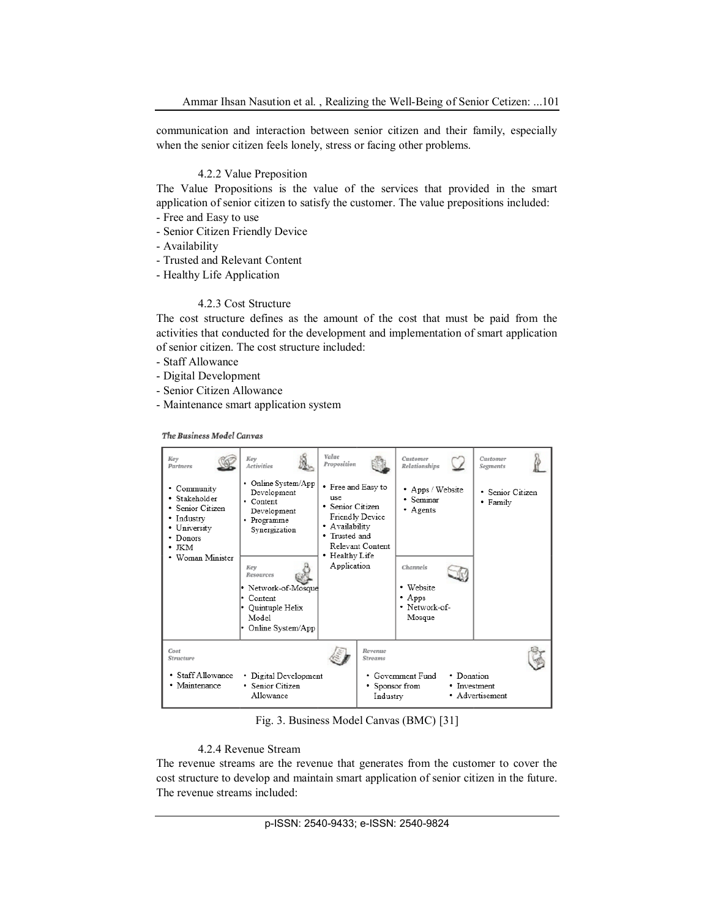communication and interaction between senior citizen and their family, especially when the senior citizen feels lonely, stress or facing other problems.

#### 4.2.2 Value Preposition

The Value Propositions is the value of the services that provided in the smart application of senior citizen to satisfy the customer. The value prepositions included:

- Free and Easy to use
- Senior Citizen Friendly Device
- Availability
- Trusted and Relevant Content
- Healthy Life Application

## 4.2.3 Cost Structure

The cost structure defines as the amount of the cost that must be paid from the activities that conducted for the development and implementation of smart application of senior citizen. The cost structure included:

- Staff Allowance
- Digital Development
- Senior Citizen Allowance
- Maintenance smart application system

The Business Model Canvas

| Kev<br>Partners                                                                                                        | Key<br><b>Activities</b>                                                                                                                                                                                  | Value<br>Proposition                                                                                                                                      |                                                         | Customer<br>Relationships                                                                                     |                            | Customer<br>Segments         |  |
|------------------------------------------------------------------------------------------------------------------------|-----------------------------------------------------------------------------------------------------------------------------------------------------------------------------------------------------------|-----------------------------------------------------------------------------------------------------------------------------------------------------------|---------------------------------------------------------|---------------------------------------------------------------------------------------------------------------|----------------------------|------------------------------|--|
| • Community<br>• Stakeholder<br>• Senior Citizen<br>• Industry<br>• University<br>• Donors<br>• жм<br>• Woman Minister | • Online System/App<br>Development<br>• Content<br>Development<br>• Programme<br>Synergization<br>Kev<br>Resources<br>• Network-of-Mosque<br>• Content<br>• Quintuple Helix<br>Model<br>Online System/App | • Free and Easy to<br>use.<br>• Senior Citizen<br>Friendly Device<br>· Availability<br>• Trusted and<br>Relevant Content<br>• Healthy Life<br>Application |                                                         | • Apps / Website<br>· Seminar<br>• Agents<br>Channels<br>• Website<br>$\cdot$ Apps<br>• Network-of-<br>Mosque |                            | • Senior Citizen<br>• Family |  |
| Cost<br><b>Structure</b><br>• Staff Allowance<br>• Maintenance                                                         | • Digital Development<br>• Senior Citizen<br>Allowance                                                                                                                                                    |                                                                                                                                                           | Revenue<br><b>Streams</b><br>• Sponsor from<br>Industry | • Government Fund                                                                                             | • Donation<br>• Investment | • Advertisement              |  |

Fig. 3. Business Model Canvas (BMC) [31]

## 4.2.4 Revenue Stream

The revenue streams are the revenue that generates from the customer to cover the cost structure to develop and maintain smart application of senior citizen in the future. The revenue streams included: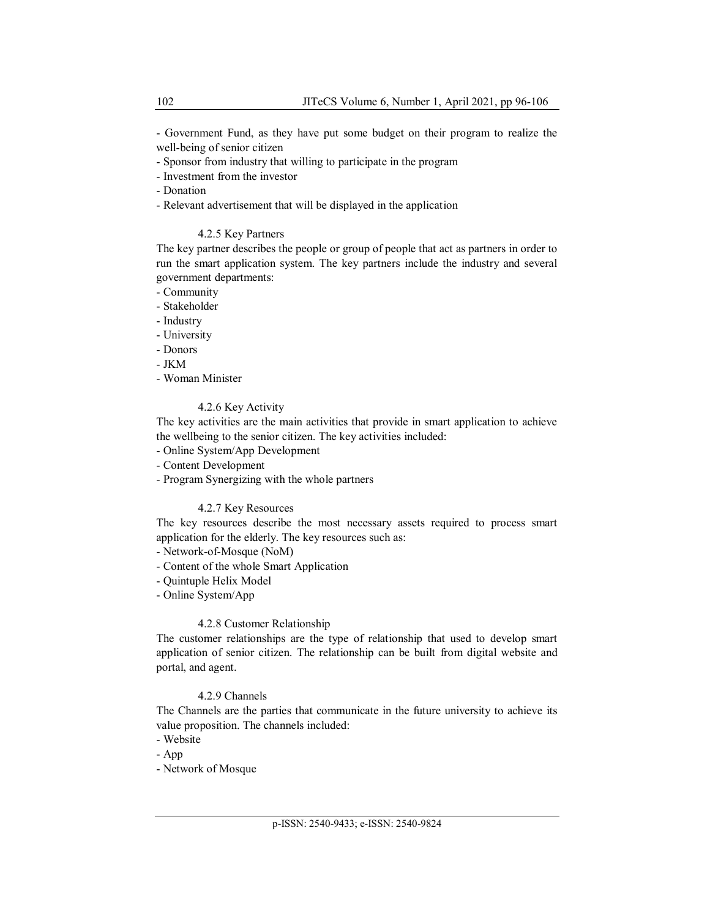- Government Fund, as they have put some budget on their program to realize the well-being of senior citizen

- Sponsor from industry that willing to participate in the program

- Investment from the investor

- Donation

- Relevant advertisement that will be displayed in the application

## 4.2.5 Key Partners

The key partner describes the people or group of people that act as partners in order to run the smart application system. The key partners include the industry and several government departments:

- Community

- Stakeholder
- Industry
- University
- Donors

- JKM

- Woman Minister

# 4.2.6 Key Activity

The key activities are the main activities that provide in smart application to achieve the wellbeing to the senior citizen. The key activities included:

- Online System/App Development
- Content Development
- Program Synergizing with the whole partners

# 4.2.7 Key Resources

The key resources describe the most necessary assets required to process smart application for the elderly. The key resources such as:

- Network-of-Mosque (NoM)

- Content of the whole Smart Application
- Quintuple Helix Model
- Online System/App

## 4.2.8 Customer Relationship

The customer relationships are the type of relationship that used to develop smart application of senior citizen. The relationship can be built from digital website and portal, and agent.

# 4.2.9 Channels

The Channels are the parties that communicate in the future university to achieve its value proposition. The channels included:

- Website
- App

- Network of Mosque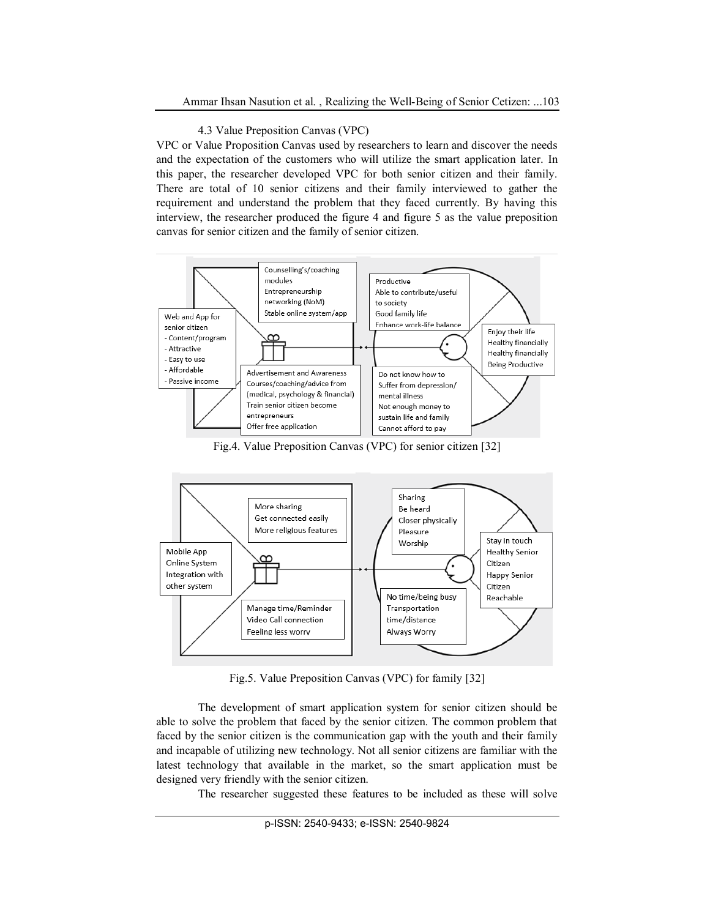#### 4.3 Value Preposition Canvas (VPC)

VPC or Value Proposition Canvas used by researchers to learn and discover the needs and the expectation of the customers who will utilize the smart application later. In this paper, the researcher developed VPC for both senior citizen and their family. There are total of 10 senior citizens and their family interviewed to gather the requirement and understand the problem that they faced currently. By having this interview, the researcher produced the figure 4 and figure 5 as the value preposition canvas for senior citizen and the family of senior citizen.



Fig.4. Value Preposition Canvas (VPC) for senior citizen [32]



Fig.5. Value Preposition Canvas (VPC) for family [32]

The development of smart application system for senior citizen should be able to solve the problem that faced by the senior citizen. The common problem that faced by the senior citizen is the communication gap with the youth and their family and incapable of utilizing new technology. Not all senior citizens are familiar with the latest technology that available in the market, so the smart application must be designed very friendly with the senior citizen.

The researcher suggested these features to be included as these will solve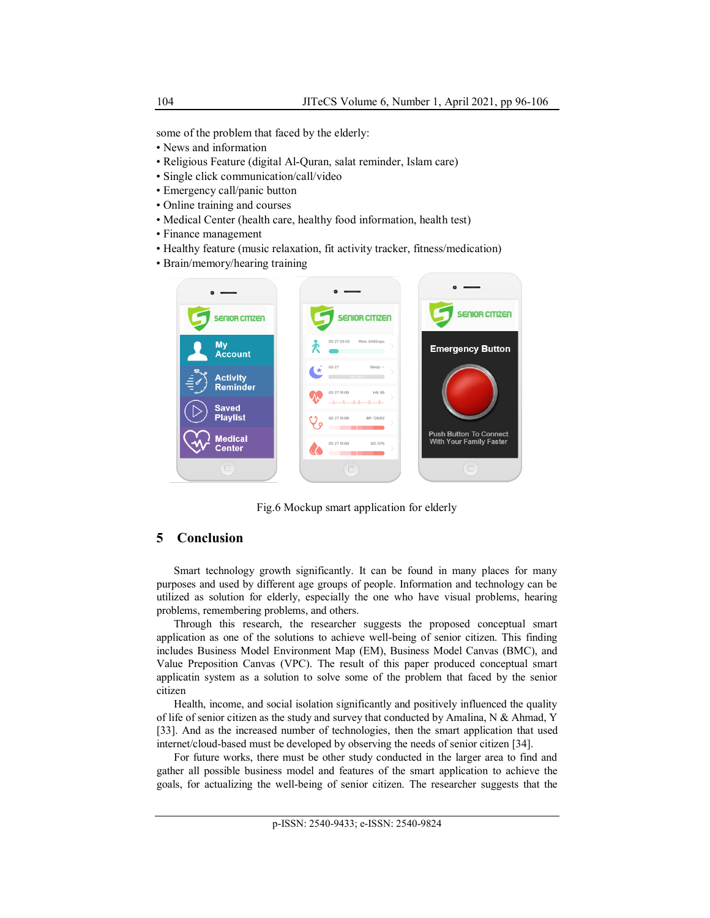some of the problem that faced by the elderly:

- News and information
- Religious Feature (digital Al-Quran, salat reminder, Islam care)
- Single click communication/call/video
- Emergency call/panic button
- Online training and courses
- Medical Center (health care, healthy food information, health test)
- Finance management
- Healthy feature (music relaxation, fit activity tracker, fitness/medication)
- Brain/memory/hearing training



Fig.6 Mockup smart application for elderly

# **5 Conclusion**

Smart technology growth significantly. It can be found in many places for many purposes and used by different age groups of people. Information and technology can be utilized as solution for elderly, especially the one who have visual problems, hearing problems, remembering problems, and others.

Through this research, the researcher suggests the proposed conceptual smart application as one of the solutions to achieve well-being of senior citizen. This finding includes Business Model Environment Map (EM), Business Model Canvas (BMC), and Value Preposition Canvas (VPC). The result of this paper produced conceptual smart applicatin system as a solution to solve some of the problem that faced by the senior citizen

Health, income, and social isolation significantly and positively influenced the quality of life of senior citizen as the study and survey that conducted by Amalina, N  $\&$  Ahmad, Y [33]. And as the increased number of technologies, then the smart application that used internet/cloud-based must be developed by observing the needs of senior citizen [34].

For future works, there must be other study conducted in the larger area to find and gather all possible business model and features of the smart application to achieve the goals, for actualizing the well-being of senior citizen. The researcher suggests that the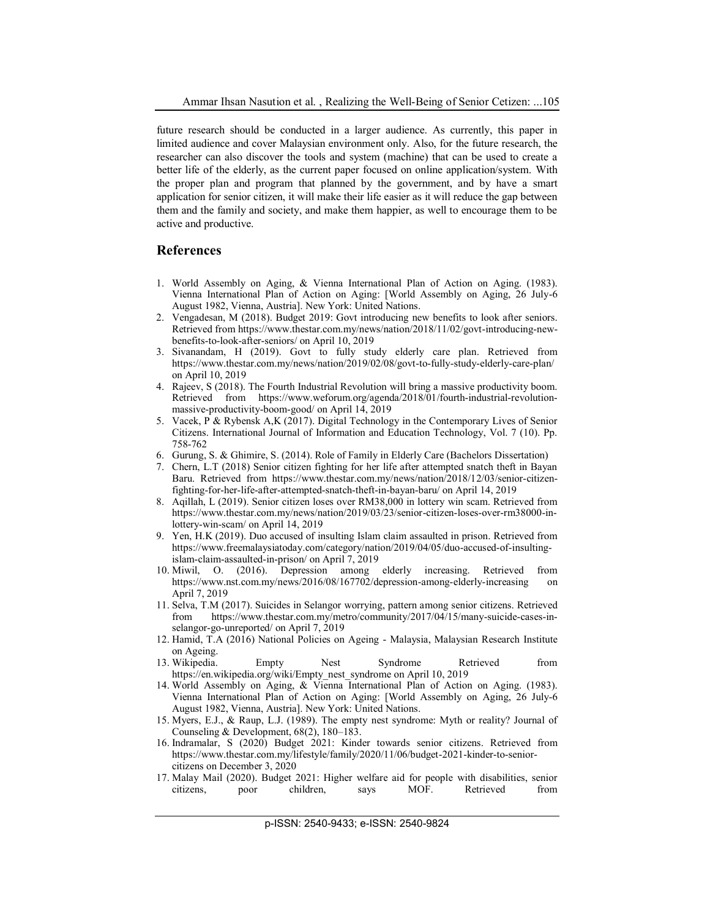future research should be conducted in a larger audience. As currently, this paper in limited audience and cover Malaysian environment only. Also, for the future research, the researcher can also discover the tools and system (machine) that can be used to create a better life of the elderly, as the current paper focused on online application/system. With the proper plan and program that planned by the government, and by have a smart application for senior citizen, it will make their life easier as it will reduce the gap between them and the family and society, and make them happier, as well to encourage them to be active and productive.

#### **References**

- 1. World Assembly on Aging, & Vienna International Plan of Action on Aging. (1983). Vienna International Plan of Action on Aging: [World Assembly on Aging, 26 July-6 August 1982, Vienna, Austria]. New York: United Nations.
- 2. Vengadesan, M (2018). Budget 2019: Govt introducing new benefits to look after seniors. Retrieved from https://www.thestar.com.my/news/nation/2018/11/02/govt-introducing-newbenefits-to-look-after-seniors/ on April 10, 2019
- 3. Sivanandam, H (2019). Govt to fully study elderly care plan. Retrieved from https://www.thestar.com.my/news/nation/2019/02/08/govt-to-fully-study-elderly-care-plan/ on April 10, 2019
- 4. Rajeev, S (2018). The Fourth Industrial Revolution will bring a massive productivity boom. Retrieved from https://www.weforum.org/agenda/2018/01/fourth-industrial-revolutionmassive-productivity-boom-good/ on April 14, 2019
- 5. Vacek, P & Rybensk A,K (2017). Digital Technology in the Contemporary Lives of Senior Citizens. International Journal of Information and Education Technology, Vol. 7 (10). Pp. 758-762
- 6. Gurung, S. & Ghimire, S. (2014). Role of Family in Elderly Care (Bachelors Dissertation)
- 7. Chern, L.T (2018) Senior citizen fighting for her life after attempted snatch theft in Bayan Baru. Retrieved from https://www.thestar.com.my/news/nation/2018/12/03/senior-citizenfighting-for-her-life-after-attempted-snatch-theft-in-bayan-baru/ on April 14, 2019
- 8. Aqillah, L (2019). Senior citizen loses over RM38,000 in lottery win scam. Retrieved from https://www.thestar.com.my/news/nation/2019/03/23/senior-citizen-loses-over-rm38000-inlottery-win-scam/ on April 14, 2019
- 9. Yen, H.K (2019). Duo accused of insulting Islam claim assaulted in prison. Retrieved from https://www.freemalaysiatoday.com/category/nation/2019/04/05/duo-accused-of-insultingislam-claim-assaulted-in-prison/ on April 7, 2019
- 10. Miwil, O. (2016). Depression among elderly increasing. Retrieved from https://www.nst.com.my/news/2016/08/167702/depression-among-elderly-increasing on April 7, 2019
- 11. Selva, T.M (2017). Suicides in Selangor worrying, pattern among senior citizens. Retrieved from https://www.thestar.com.my/metro/community/2017/04/15/many-suicide-cases-inselangor-go-unreported/ on April 7, 2019
- 12. Hamid, T.A (2016) National Policies on Ageing Malaysia, Malaysian Research Institute on Ageing.
- 13. Wikipedia. Empty Nest Syndrome Retrieved from https://en.wikipedia.org/wiki/Empty\_nest\_syndrome on April 10, 2019
- 14. World Assembly on Aging, & Vienna International Plan of Action on Aging. (1983). Vienna International Plan of Action on Aging: [World Assembly on Aging, 26 July-6 August 1982, Vienna, Austria]. New York: United Nations.
- 15. Myers, E.J., & Raup, L.J. (1989). The empty nest syndrome: Myth or reality? Journal of Counseling & Development, 68(2), 180–183.
- 16. Indramalar, S (2020) Budget 2021: Kinder towards senior citizens. Retrieved from https://www.thestar.com.my/lifestyle/family/2020/11/06/budget-2021-kinder-to-seniorcitizens on December 3, 2020
- 17. Malay Mail (2020). Budget 2021: Higher welfare aid for people with disabilities, senior citizens, poor children, says MOF. Retrieved from